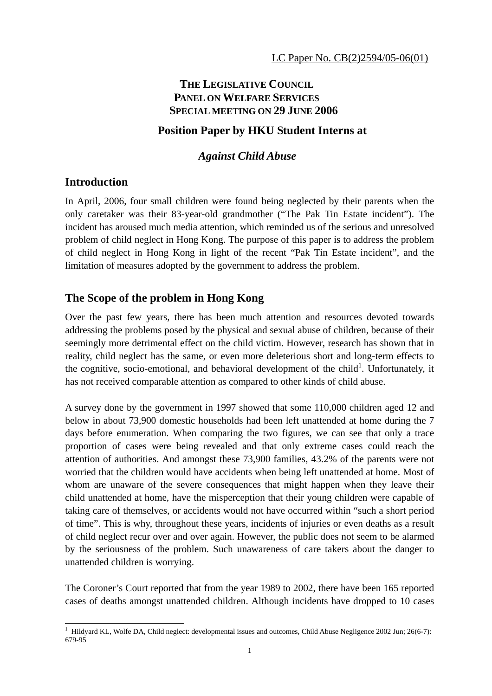# **THE LEGISLATIVE COUNCIL PANEL ON WELFARE SERVICES SPECIAL MEETING ON 29 JUNE 2006**

## **Position Paper by HKU Student Interns at**

## *Against Child Abuse*

## **Introduction**

In April, 2006, four small children were found being neglected by their parents when the only caretaker was their 83-year-old grandmother ("The Pak Tin Estate incident"). The incident has aroused much media attention, which reminded us of the serious and unresolved problem of child neglect in Hong Kong. The purpose of this paper is to address the problem of child neglect in Hong Kong in light of the recent "Pak Tin Estate incident", and the limitation of measures adopted by the government to address the problem.

# **The Scope of the problem in Hong Kong**

Over the past few years, there has been much attention and resources devoted towards addressing the problems posed by the physical and sexual abuse of children, because of their seemingly more detrimental effect on the child victim. However, research has shown that in reality, child neglect has the same, or even more deleterious short and long-term effects to the cognitive, socio-emotional, and behavioral development of the child<sup>1</sup>. Unfortunately, it has not received comparable attention as compared to other kinds of child abuse.

A survey done by the government in 1997 showed that some 110,000 children aged 12 and below in about 73,900 domestic households had been left unattended at home during the 7 days before enumeration. When comparing the two figures, we can see that only a trace proportion of cases were being revealed and that only extreme cases could reach the attention of authorities. And amongst these 73,900 families, 43.2% of the parents were not worried that the children would have accidents when being left unattended at home. Most of whom are unaware of the severe consequences that might happen when they leave their child unattended at home, have the misperception that their young children were capable of taking care of themselves, or accidents would not have occurred within "such a short period of time". This is why, throughout these years, incidents of injuries or even deaths as a result of child neglect recur over and over again. However, the public does not seem to be alarmed by the seriousness of the problem. Such unawareness of care takers about the danger to unattended children is worrying.

The Coroner's Court reported that from the year 1989 to 2002, there have been 165 reported cases of deaths amongst unattended children. Although incidents have dropped to 10 cases

 $\overline{a}$ <sup>1</sup> Hildyard KL, Wolfe DA, Child neglect: developmental issues and outcomes, Child Abuse Negligence 2002 Jun; 26(6-7): 679-95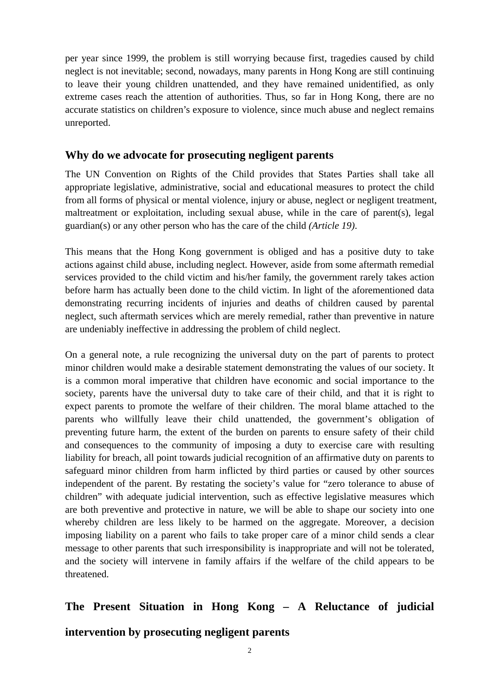per year since 1999, the problem is still worrying because first, tragedies caused by child neglect is not inevitable; second, nowadays, many parents in Hong Kong are still continuing to leave their young children unattended, and they have remained unidentified, as only extreme cases reach the attention of authorities. Thus, so far in Hong Kong, there are no accurate statistics on children's exposure to violence, since much abuse and neglect remains unreported.

## **Why do we advocate for prosecuting negligent parents**

The UN Convention on Rights of the Child provides that States Parties shall take all appropriate legislative, administrative, social and educational measures to protect the child from all forms of physical or mental violence, injury or abuse, neglect or negligent treatment, maltreatment or exploitation, including sexual abuse, while in the care of parent(s), legal guardian(s) or any other person who has the care of the child *(Article 19)*.

This means that the Hong Kong government is obliged and has a positive duty to take actions against child abuse, including neglect. However, aside from some aftermath remedial services provided to the child victim and his/her family, the government rarely takes action before harm has actually been done to the child victim. In light of the aforementioned data demonstrating recurring incidents of injuries and deaths of children caused by parental neglect, such aftermath services which are merely remedial, rather than preventive in nature are undeniably ineffective in addressing the problem of child neglect.

On a general note, a rule recognizing the universal duty on the part of parents to protect minor children would make a desirable statement demonstrating the values of our society. It is a common moral imperative that children have economic and social importance to the society, parents have the universal duty to take care of their child, and that it is right to expect parents to promote the welfare of their children. The moral blame attached to the parents who willfully leave their child unattended, the government's obligation of preventing future harm, the extent of the burden on parents to ensure safety of their child and consequences to the community of imposing a duty to exercise care with resulting liability for breach, all point towards judicial recognition of an affirmative duty on parents to safeguard minor children from harm inflicted by third parties or caused by other sources independent of the parent. By restating the society's value for "zero tolerance to abuse of children" with adequate judicial intervention, such as effective legislative measures which are both preventive and protective in nature, we will be able to shape our society into one whereby children are less likely to be harmed on the aggregate. Moreover, a decision imposing liability on a parent who fails to take proper care of a minor child sends a clear message to other parents that such irresponsibility is inappropriate and will not be tolerated, and the society will intervene in family affairs if the welfare of the child appears to be threatened.

# **The Present Situation in Hong Kong – A Reluctance of judicial**

## **intervention by prosecuting negligent parents**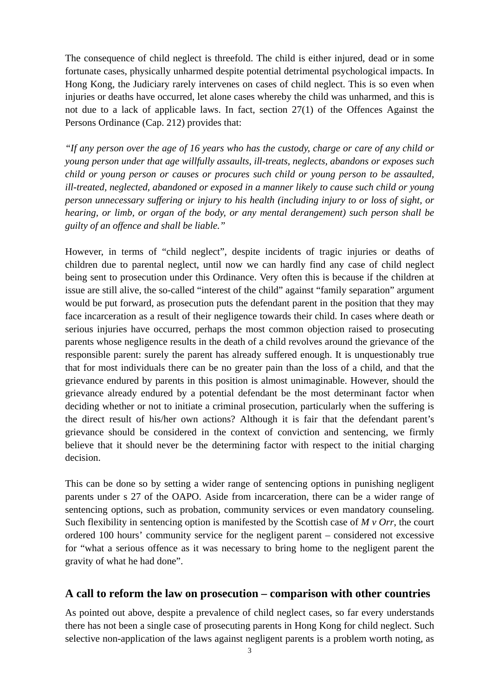The consequence of child neglect is threefold. The child is either injured, dead or in some fortunate cases, physically unharmed despite potential detrimental psychological impacts. In Hong Kong, the Judiciary rarely intervenes on cases of child neglect. This is so even when injuries or deaths have occurred, let alone cases whereby the child was unharmed, and this is not due to a lack of applicable laws. In fact, section 27(1) of the Offences Against the Persons Ordinance (Cap. 212) provides that:

*"If any person over the age of 16 years who has the custody, charge or care of any child or young person under that age willfully assaults, ill-treats, neglects, abandons or exposes such child or young person or causes or procures such child or young person to be assaulted, ill-treated, neglected, abandoned or exposed in a manner likely to cause such child or young person unnecessary suffering or injury to his health (including injury to or loss of sight, or hearing, or limb, or organ of the body, or any mental derangement) such person shall be guilty of an offence and shall be liable."* 

However, in terms of "child neglect", despite incidents of tragic injuries or deaths of children due to parental neglect, until now we can hardly find any case of child neglect being sent to prosecution under this Ordinance. Very often this is because if the children at issue are still alive, the so-called "interest of the child" against "family separation" argument would be put forward, as prosecution puts the defendant parent in the position that they may face incarceration as a result of their negligence towards their child. In cases where death or serious injuries have occurred, perhaps the most common objection raised to prosecuting parents whose negligence results in the death of a child revolves around the grievance of the responsible parent: surely the parent has already suffered enough. It is unquestionably true that for most individuals there can be no greater pain than the loss of a child, and that the grievance endured by parents in this position is almost unimaginable. However, should the grievance already endured by a potential defendant be the most determinant factor when deciding whether or not to initiate a criminal prosecution, particularly when the suffering is the direct result of his/her own actions? Although it is fair that the defendant parent's grievance should be considered in the context of conviction and sentencing, we firmly believe that it should never be the determining factor with respect to the initial charging decision.

This can be done so by setting a wider range of sentencing options in punishing negligent parents under s 27 of the OAPO. Aside from incarceration, there can be a wider range of sentencing options, such as probation, community services or even mandatory counseling. Such flexibility in sentencing option is manifested by the Scottish case of *M v Orr*, the court ordered 100 hours' community service for the negligent parent – considered not excessive for "what a serious offence as it was necessary to bring home to the negligent parent the gravity of what he had done".

#### **A call to reform the law on prosecution – comparison with other countries**

As pointed out above, despite a prevalence of child neglect cases, so far every understands there has not been a single case of prosecuting parents in Hong Kong for child neglect. Such selective non-application of the laws against negligent parents is a problem worth noting, as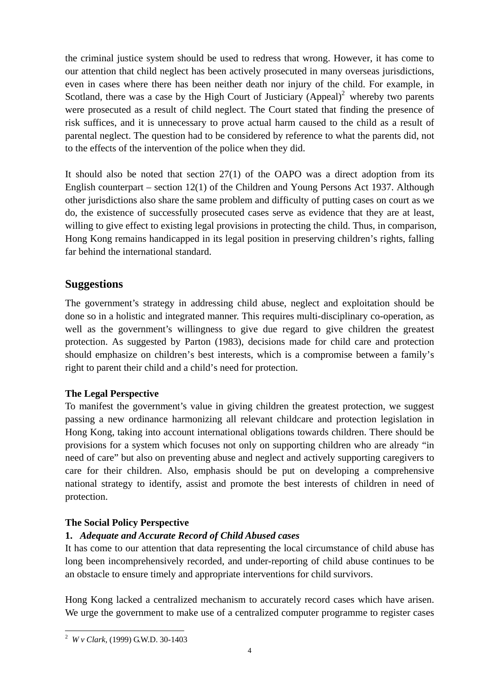the criminal justice system should be used to redress that wrong. However, it has come to our attention that child neglect has been actively prosecuted in many overseas jurisdictions, even in cases where there has been neither death nor injury of the child. For example, in Scotland, there was a case by the High Court of Justiciary  $(Appeal)^2$  whereby two parents were prosecuted as a result of child neglect. The Court stated that finding the presence of risk suffices, and it is unnecessary to prove actual harm caused to the child as a result of parental neglect. The question had to be considered by reference to what the parents did, not to the effects of the intervention of the police when they did.

It should also be noted that section  $27(1)$  of the OAPO was a direct adoption from its English counterpart – section 12(1) of the Children and Young Persons Act 1937. Although other jurisdictions also share the same problem and difficulty of putting cases on court as we do, the existence of successfully prosecuted cases serve as evidence that they are at least, willing to give effect to existing legal provisions in protecting the child. Thus, in comparison, Hong Kong remains handicapped in its legal position in preserving children's rights, falling far behind the international standard.

## **Suggestions**

The government's strategy in addressing child abuse, neglect and exploitation should be done so in a holistic and integrated manner. This requires multi-disciplinary co-operation, as well as the government's willingness to give due regard to give children the greatest protection. As suggested by Parton (1983), decisions made for child care and protection should emphasize on children's best interests, which is a compromise between a family's right to parent their child and a child's need for protection.

## **The Legal Perspective**

To manifest the government's value in giving children the greatest protection, we suggest passing a new ordinance harmonizing all relevant childcare and protection legislation in Hong Kong, taking into account international obligations towards children. There should be provisions for a system which focuses not only on supporting children who are already "in need of care" but also on preventing abuse and neglect and actively supporting caregivers to care for their children. Also, emphasis should be put on developing a comprehensive national strategy to identify, assist and promote the best interests of children in need of protection.

#### **The Social Policy Perspective**

## **1.** *Adequate and Accurate Record of Child Abused cases*

It has come to our attention that data representing the local circumstance of child abuse has long been incomprehensively recorded, and under-reporting of child abuse continues to be an obstacle to ensure timely and appropriate interventions for child survivors.

Hong Kong lacked a centralized mechanism to accurately record cases which have arisen. We urge the government to make use of a centralized computer programme to register cases

 $\overline{a}$ <sup>2</sup> *W v Clark*, (1999) G.W.D. 30-1403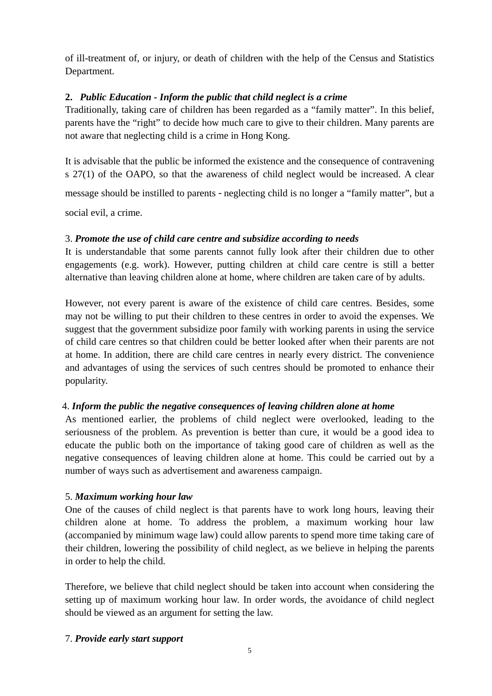of ill-treatment of, or injury, or death of children with the help of the Census and Statistics Department.

## **2.** *Public Education - Inform the public that child neglect is a crime*

Traditionally, taking care of children has been regarded as a "family matter". In this belief, parents have the "right" to decide how much care to give to their children. Many parents are not aware that neglecting child is a crime in Hong Kong.

It is advisable that the public be informed the existence and the consequence of contravening s 27(1) of the OAPO, so that the awareness of child neglect would be increased. A clear

message should be instilled to parents - neglecting child is no longer a "family matter", but a

social evil, a crime.

#### 3. *Promote the use of child care centre and subsidize according to needs*

It is understandable that some parents cannot fully look after their children due to other engagements (e.g. work). However, putting children at child care centre is still a better alternative than leaving children alone at home, where children are taken care of by adults.

However, not every parent is aware of the existence of child care centres. Besides, some may not be willing to put their children to these centres in order to avoid the expenses. We suggest that the government subsidize poor family with working parents in using the service of child care centres so that children could be better looked after when their parents are not at home. In addition, there are child care centres in nearly every district. The convenience and advantages of using the services of such centres should be promoted to enhance their popularity.

#### 4. *Inform the public the negative consequences of leaving children alone at home*

As mentioned earlier, the problems of child neglect were overlooked, leading to the seriousness of the problem. As prevention is better than cure, it would be a good idea to educate the public both on the importance of taking good care of children as well as the negative consequences of leaving children alone at home. This could be carried out by a number of ways such as advertisement and awareness campaign.

#### 5. *Maximum working hour law*

One of the causes of child neglect is that parents have to work long hours, leaving their children alone at home. To address the problem, a maximum working hour law (accompanied by minimum wage law) could allow parents to spend more time taking care of their children, lowering the possibility of child neglect, as we believe in helping the parents in order to help the child.

Therefore, we believe that child neglect should be taken into account when considering the setting up of maximum working hour law. In order words, the avoidance of child neglect should be viewed as an argument for setting the law.

#### 7. *Provide early start support*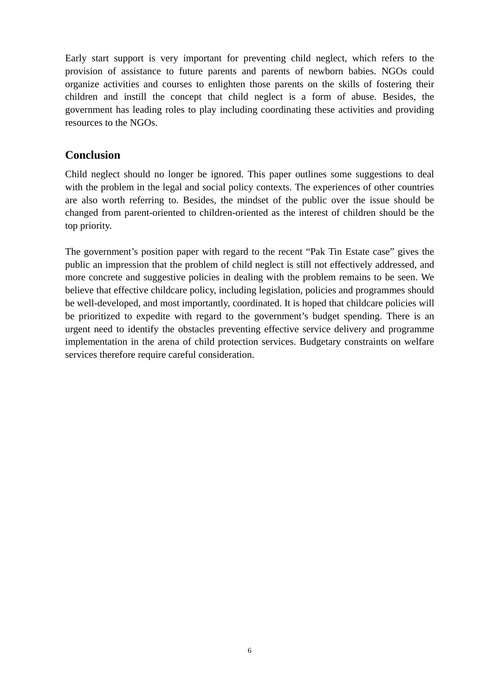Early start support is very important for preventing child neglect, which refers to the provision of assistance to future parents and parents of newborn babies. NGOs could organize activities and courses to enlighten those parents on the skills of fostering their children and instill the concept that child neglect is a form of abuse. Besides, the government has leading roles to play including coordinating these activities and providing resources to the NGOs.

#### **Conclusion**

Child neglect should no longer be ignored. This paper outlines some suggestions to deal with the problem in the legal and social policy contexts. The experiences of other countries are also worth referring to. Besides, the mindset of the public over the issue should be changed from parent-oriented to children-oriented as the interest of children should be the top priority.

The government's position paper with regard to the recent "Pak Tin Estate case" gives the public an impression that the problem of child neglect is still not effectively addressed, and more concrete and suggestive policies in dealing with the problem remains to be seen. We believe that effective childcare policy, including legislation, policies and programmes should be well-developed, and most importantly, coordinated. It is hoped that childcare policies will be prioritized to expedite with regard to the government's budget spending. There is an urgent need to identify the obstacles preventing effective service delivery and programme implementation in the arena of child protection services. Budgetary constraints on welfare services therefore require careful consideration.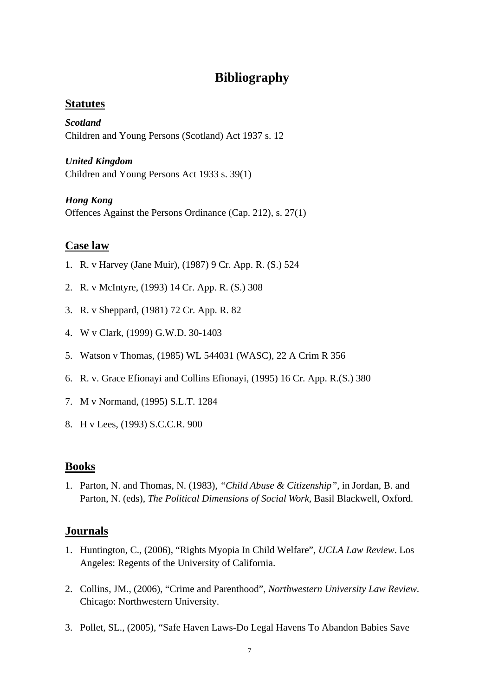# **Bibliography**

## **Statutes**

*Scotland*  Children and Young Persons (Scotland) Act 1937 s. 12

## *United Kingdom*

Children and Young Persons Act 1933 s. 39(1)

## *Hong Kong*

Offences Against the Persons Ordinance (Cap. 212), s. 27(1)

# **Case law**

- 1. R. v Harvey (Jane Muir), (1987) 9 Cr. App. R. (S.) 524
- 2. R. v McIntyre, (1993) 14 Cr. App. R. (S.) 308
- 3. R. v Sheppard, (1981) 72 Cr. App. R. 82
- 4. W v Clark, (1999) G.W.D. 30-1403
- 5. Watson v Thomas, (1985) WL 544031 (WASC), 22 A Crim R 356
- 6. R. v. Grace Efionayi and Collins Efionayi, (1995) 16 Cr. App. R.(S.) 380
- 7. M v Normand, (1995) S.L.T. 1284
- 8. H v Lees, (1993) S.C.C.R. 900

# **Books**

1. Parton, N. and Thomas, N. (1983), *"Child Abuse & Citizenship"*, in Jordan, B. and Parton, N. (eds), *The Political Dimensions of Social Work*, Basil Blackwell, Oxford.

# **Journals**

- 1. Huntington, C., (2006), "Rights Myopia In Child Welfare"*, UCLA Law Review*. Los Angeles: Regents of the University of California.
- 2. Collins, JM., (2006), "Crime and Parenthood", *Northwestern University Law Review*. Chicago: Northwestern University.
- 3. Pollet, SL., (2005), "Safe Haven Laws-Do Legal Havens To Abandon Babies Save